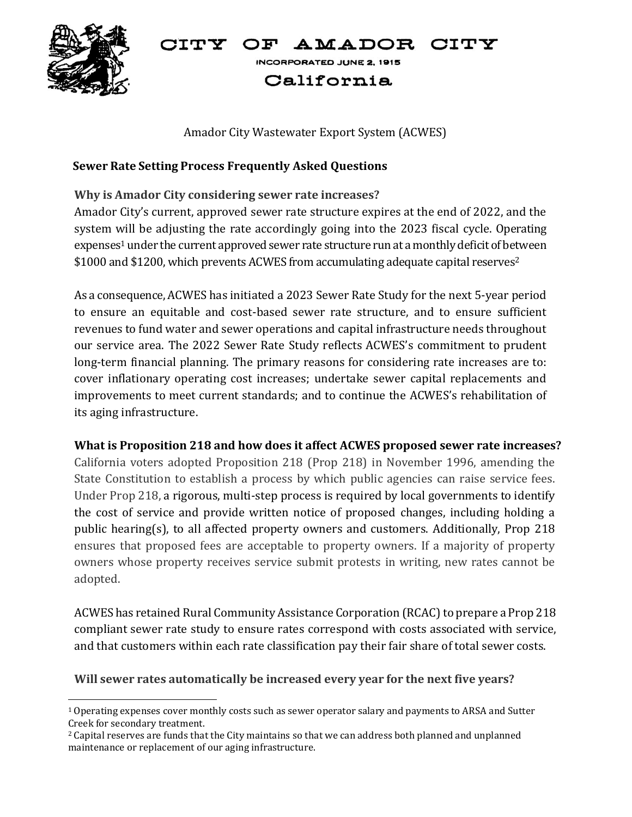#### CITY OF AMADOR CITY



INCORPORATED JUNE 2, 1915

# California

### Amador City Wastewater Export System (ACWES)

#### **Sewer Rate Setting Process Frequently Asked Questions**

## **Why is Amador City considering sewer rate increases?**

Amador City's current, approved sewer rate structure expires at the end of 2022, and the system will be adjusting the rate accordingly going into the 2023 fiscal cycle. Operating expenses<sup>1</sup> under the current approved sewer rate structure run at a monthly deficit of between \$1000 and \$1200, which prevents ACWES from accumulating adequate capital reserves<sup>2</sup>

As a consequence, ACWES has initiated a 2023 Sewer Rate Study for the next 5-year period to ensure an equitable and cost-based sewer rate structure, and to ensure sufficient revenues to fund water and sewer operations and capital infrastructure needs throughout our service area. The 2022 Sewer Rate Study reflects ACWES's commitment to prudent long-term financial planning. The primary reasons for considering rate increases are to: cover inflationary operating cost increases; undertake sewer capital replacements and improvements to meet current standards; and to continue the ACWES's rehabilitation of its aging infrastructure.

## **What is Proposition 218 and how does it affect ACWES proposed sewer rate increases?**

California voters adopted Proposition 218 (Prop 218) in November 1996, amending the State Constitution to establish a process by which public agencies can raise service fees. Under Prop 218, a rigorous, multi-step process is required by local governments to identify the cost of service and provide written notice of proposed changes, including holding a public hearing(s), to all affected property owners and customers. Additionally, Prop 218 ensures that proposed fees are acceptable to property owners. If a majority of property owners whose property receives service submit protests in writing, new rates cannot be adopted.

ACWES has retained Rural Community Assistance Corporation (RCAC) to prepare a Prop 218 compliant sewer rate study to ensure rates correspond with costs associated with service, and that customers within each rate classification pay their fair share of total sewer costs.

#### **Will sewer rates automatically be increased every year for the next five years?**

 $1$  Operating expenses cover monthly costs such as sewer operator salary and payments to ARSA and Sutter Creek for secondary treatment.

<sup>2</sup> Capital reserves are funds that the City maintains so that we can address both planned and unplanned maintenance or replacement of our aging infrastructure.